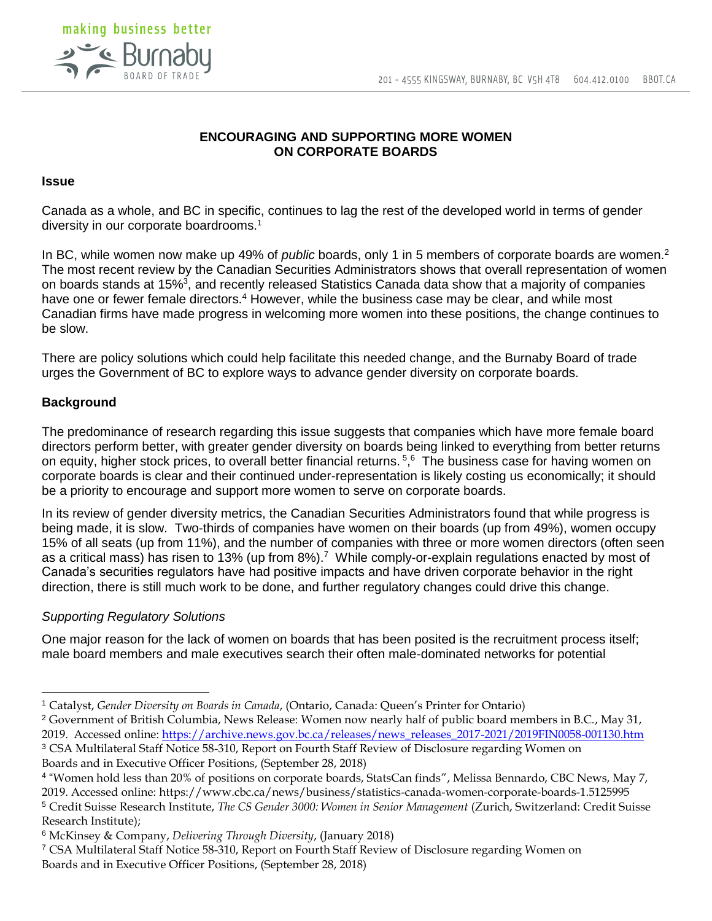

# **ENCOURAGING AND SUPPORTING MORE WOMEN ON CORPORATE BOARDS**

#### **Issue**

Canada as a whole, and BC in specific, continues to lag the rest of the developed world in terms of gender diversity in our corporate boardrooms.<sup>1</sup>

In BC, while women now make up 49% of *public* boards, only 1 in 5 members of corporate boards are women.<sup>2</sup> The most recent review by the Canadian Securities Administrators shows that overall representation of women on boards stands at 15%<sup>3</sup>, and recently released Statistics Canada data show that a majority of companies have one or fewer female directors.<sup>4</sup> However, while the business case may be clear, and while most Canadian firms have made progress in welcoming more women into these positions, the change continues to be slow.

There are policy solutions which could help facilitate this needed change, and the Burnaby Board of trade urges the Government of BC to explore ways to advance gender diversity on corporate boards.

#### **Background**

The predominance of research regarding this issue suggests that companies which have more female board directors perform better, with greater gender diversity on boards being linked to everything from better returns on equity, higher stock prices, to overall better financial returns.<sup>5,6</sup> The business case for having women on corporate boards is clear and their continued under-representation is likely costing us economically; it should be a priority to encourage and support more women to serve on corporate boards.

In its review of gender diversity metrics, the Canadian Securities Administrators found that while progress is being made, it is slow. Two-thirds of companies have women on their boards (up from 49%), women occupy 15% of all seats (up from 11%), and the number of companies with three or more women directors (often seen as a critical mass) has risen to 13% (up from 8%).<sup>7</sup> While comply-or-explain regulations enacted by most of Canada's securities regulators have had positive impacts and have driven corporate behavior in the right direction, there is still much work to be done, and further regulatory changes could drive this change.

## *Supporting Regulatory Solutions*

One major reason for the lack of women on boards that has been posited is the recruitment process itself; male board members and male executives search their often male-dominated networks for potential

<sup>2</sup> Government of British Columbia, News Release: Women now nearly half of public board members in B.C., May 31, 2019. Accessed online: [https://archive.news.gov.bc.ca/releases/news\\_releases\\_2017-2021/2019FIN0058-001130.htm](https://archive.news.gov.bc.ca/releases/news_releases_2017-2021/2019FIN0058-001130.htm) <sup>3</sup> CSA Multilateral Staff Notice 58-310, Report on Fourth Staff Review of Disclosure regarding Women on

Boards and in Executive Officer Positions, (September 28, 2018)

<sup>1</sup> Catalyst, *Gender Diversity on Boards in Canada*, (Ontario, Canada: Queen's Printer for Ontario)

<sup>4</sup> "Women hold less than 20% of positions on corporate boards, StatsCan finds", Melissa Bennardo, CBC News, May 7, 2019. Accessed online: https://www.cbc.ca/news/business/statistics-canada-women-corporate-boards-1.5125995 <sup>5</sup> Credit Suisse Research Institute, *The CS Gender 3000: Women in Senior Management* (Zurich, Switzerland: Credit Suisse Research Institute);

<sup>6</sup> McKinsey & Company, *Delivering Through Diversity*, (January 2018)

<sup>7</sup> CSA Multilateral Staff Notice 58-310, Report on Fourth Staff Review of Disclosure regarding Women on Boards and in Executive Officer Positions, (September 28, 2018)